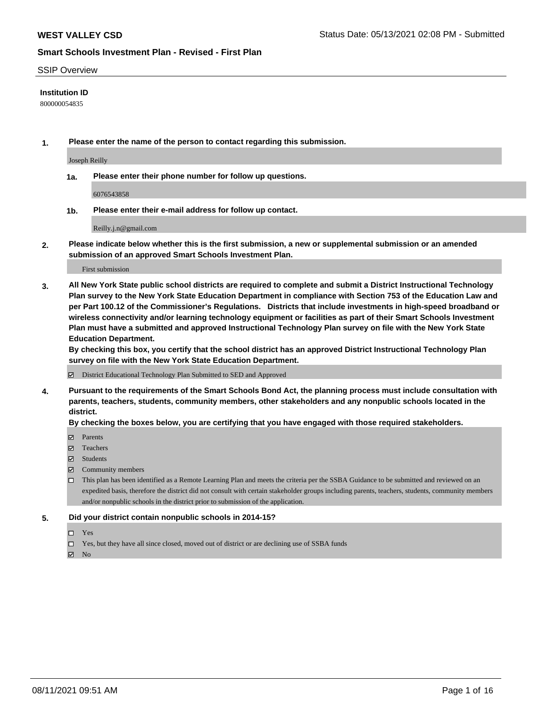#### SSIP Overview

#### **Institution ID**

800000054835

**1. Please enter the name of the person to contact regarding this submission.**

Joseph Reilly

**1a. Please enter their phone number for follow up questions.**

6076543858

**1b. Please enter their e-mail address for follow up contact.**

Reilly.j.n@gmail.com

**2. Please indicate below whether this is the first submission, a new or supplemental submission or an amended submission of an approved Smart Schools Investment Plan.**

#### First submission

**3. All New York State public school districts are required to complete and submit a District Instructional Technology Plan survey to the New York State Education Department in compliance with Section 753 of the Education Law and per Part 100.12 of the Commissioner's Regulations. Districts that include investments in high-speed broadband or wireless connectivity and/or learning technology equipment or facilities as part of their Smart Schools Investment Plan must have a submitted and approved Instructional Technology Plan survey on file with the New York State Education Department.** 

**By checking this box, you certify that the school district has an approved District Instructional Technology Plan survey on file with the New York State Education Department.**

District Educational Technology Plan Submitted to SED and Approved

**4. Pursuant to the requirements of the Smart Schools Bond Act, the planning process must include consultation with parents, teachers, students, community members, other stakeholders and any nonpublic schools located in the district.** 

#### **By checking the boxes below, you are certifying that you have engaged with those required stakeholders.**

- **Parents**
- Teachers
- Students
- $\boxtimes$  Community members
- This plan has been identified as a Remote Learning Plan and meets the criteria per the SSBA Guidance to be submitted and reviewed on an expedited basis, therefore the district did not consult with certain stakeholder groups including parents, teachers, students, community members and/or nonpublic schools in the district prior to submission of the application.
- **5. Did your district contain nonpublic schools in 2014-15?**
	- □ Yes
	- □ Yes, but they have all since closed, moved out of district or are declining use of SSBA funds

 $M$  No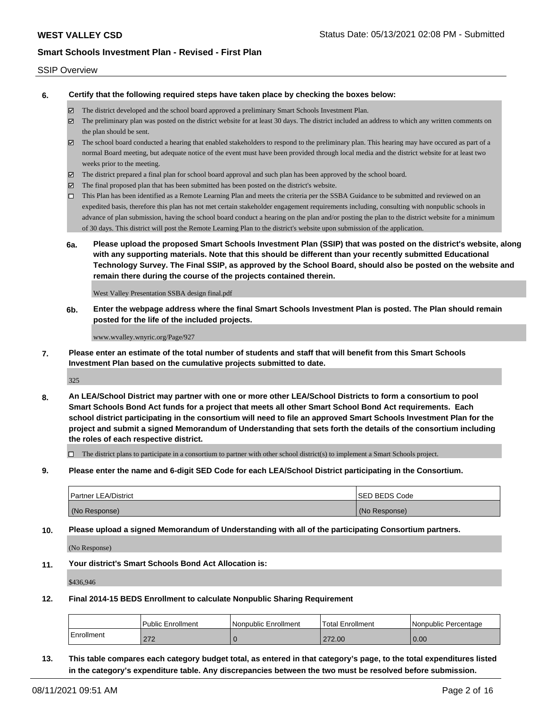#### SSIP Overview

**6. Certify that the following required steps have taken place by checking the boxes below:**

- The district developed and the school board approved a preliminary Smart Schools Investment Plan.
- The preliminary plan was posted on the district website for at least 30 days. The district included an address to which any written comments on the plan should be sent.
- The school board conducted a hearing that enabled stakeholders to respond to the preliminary plan. This hearing may have occured as part of a normal Board meeting, but adequate notice of the event must have been provided through local media and the district website for at least two weeks prior to the meeting.
- The district prepared a final plan for school board approval and such plan has been approved by the school board.
- $\boxtimes$  The final proposed plan that has been submitted has been posted on the district's website.
- This Plan has been identified as a Remote Learning Plan and meets the criteria per the SSBA Guidance to be submitted and reviewed on an expedited basis, therefore this plan has not met certain stakeholder engagement requirements including, consulting with nonpublic schools in advance of plan submission, having the school board conduct a hearing on the plan and/or posting the plan to the district website for a minimum of 30 days. This district will post the Remote Learning Plan to the district's website upon submission of the application.
- **6a. Please upload the proposed Smart Schools Investment Plan (SSIP) that was posted on the district's website, along with any supporting materials. Note that this should be different than your recently submitted Educational Technology Survey. The Final SSIP, as approved by the School Board, should also be posted on the website and remain there during the course of the projects contained therein.**

West Valley Presentation SSBA design final.pdf

**6b. Enter the webpage address where the final Smart Schools Investment Plan is posted. The Plan should remain posted for the life of the included projects.**

www.wvalley.wnyric.org/Page/927

**7. Please enter an estimate of the total number of students and staff that will benefit from this Smart Schools Investment Plan based on the cumulative projects submitted to date.**

325

**8. An LEA/School District may partner with one or more other LEA/School Districts to form a consortium to pool Smart Schools Bond Act funds for a project that meets all other Smart School Bond Act requirements. Each school district participating in the consortium will need to file an approved Smart Schools Investment Plan for the project and submit a signed Memorandum of Understanding that sets forth the details of the consortium including the roles of each respective district.**

 $\Box$  The district plans to participate in a consortium to partner with other school district(s) to implement a Smart Schools project.

**9. Please enter the name and 6-digit SED Code for each LEA/School District participating in the Consortium.**

| <b>Partner LEA/District</b> | <b>ISED BEDS Code</b> |
|-----------------------------|-----------------------|
| (No Response)               | (No Response)         |

**10. Please upload a signed Memorandum of Understanding with all of the participating Consortium partners.**

(No Response)

**11. Your district's Smart Schools Bond Act Allocation is:**

\$436,946

**12. Final 2014-15 BEDS Enrollment to calculate Nonpublic Sharing Requirement**

|            | <b>Public Enrollment</b> | l Nonpublic Enrollment | Total Enrollment | I Nonpublic Percentage |
|------------|--------------------------|------------------------|------------------|------------------------|
| Enrollment | 272<br>21 Z              |                        | 272.00           | 0.00                   |

**13. This table compares each category budget total, as entered in that category's page, to the total expenditures listed in the category's expenditure table. Any discrepancies between the two must be resolved before submission.**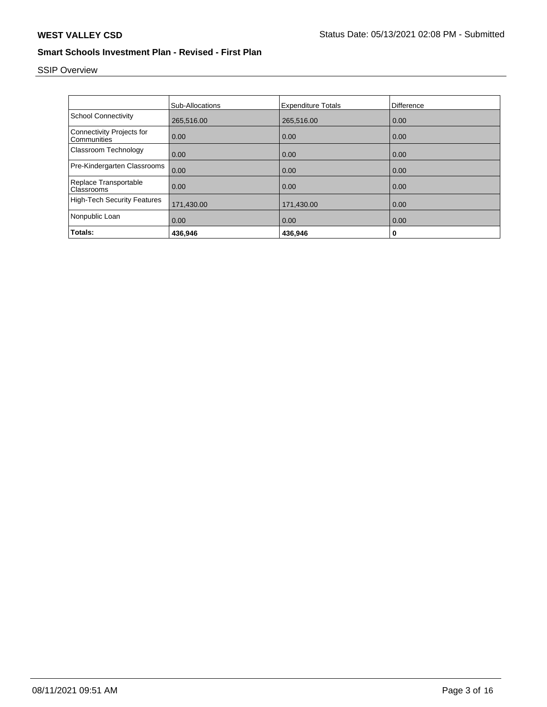# SSIP Overview

|                                          | Sub-Allocations | <b>Expenditure Totals</b> | Difference |
|------------------------------------------|-----------------|---------------------------|------------|
|                                          |                 |                           |            |
| <b>School Connectivity</b>               | 265,516.00      | 265,516.00                | 0.00       |
| Connectivity Projects for<br>Communities | 0.00            | 0.00                      | 0.00       |
| Classroom Technology                     | 0.00            | 0.00                      | 0.00       |
| Pre-Kindergarten Classrooms              | 0.00            | 0.00                      | 0.00       |
| Replace Transportable<br>Classrooms      | 0.00            | 0.00                      | 0.00       |
| <b>High-Tech Security Features</b>       | 171,430.00      | 171,430.00                | 0.00       |
| Nonpublic Loan                           | 0.00            | 0.00                      | 0.00       |
| Totals:                                  | 436.946         | 436.946                   | 0          |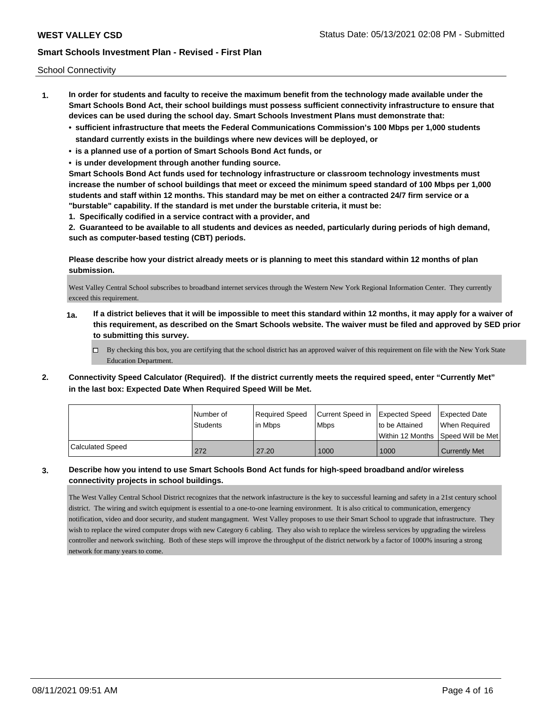School Connectivity

- **1. In order for students and faculty to receive the maximum benefit from the technology made available under the Smart Schools Bond Act, their school buildings must possess sufficient connectivity infrastructure to ensure that devices can be used during the school day. Smart Schools Investment Plans must demonstrate that:**
	- **• sufficient infrastructure that meets the Federal Communications Commission's 100 Mbps per 1,000 students standard currently exists in the buildings where new devices will be deployed, or**
	- **• is a planned use of a portion of Smart Schools Bond Act funds, or**
	- **• is under development through another funding source.**

**Smart Schools Bond Act funds used for technology infrastructure or classroom technology investments must increase the number of school buildings that meet or exceed the minimum speed standard of 100 Mbps per 1,000 students and staff within 12 months. This standard may be met on either a contracted 24/7 firm service or a "burstable" capability. If the standard is met under the burstable criteria, it must be:**

**1. Specifically codified in a service contract with a provider, and**

**2. Guaranteed to be available to all students and devices as needed, particularly during periods of high demand, such as computer-based testing (CBT) periods.**

**Please describe how your district already meets or is planning to meet this standard within 12 months of plan submission.**

West Valley Central School subscribes to broadband internet services through the Western New York Regional Information Center. They currently exceed this requirement.

- **1a. If a district believes that it will be impossible to meet this standard within 12 months, it may apply for a waiver of this requirement, as described on the Smart Schools website. The waiver must be filed and approved by SED prior to submitting this survey.**
	- $\Box$  By checking this box, you are certifying that the school district has an approved waiver of this requirement on file with the New York State Education Department.
- **2. Connectivity Speed Calculator (Required). If the district currently meets the required speed, enter "Currently Met" in the last box: Expected Date When Required Speed Will be Met.**

|                  | l Number of<br>Students | Required Speed<br>l in Mbps | Current Speed in Expected Speed<br><b>Mbps</b> | Ito be Attained | Expected Date<br>When Required       |
|------------------|-------------------------|-----------------------------|------------------------------------------------|-----------------|--------------------------------------|
|                  |                         |                             |                                                |                 | Within 12 Months 1Speed Will be Met1 |
| Calculated Speed | 272                     | 27.20                       | 1000                                           | 1000            | <b>Currently Met</b>                 |

**3. Describe how you intend to use Smart Schools Bond Act funds for high-speed broadband and/or wireless connectivity projects in school buildings.**

The West Valley Central School District recognizes that the network infastructure is the key to successful learning and safety in a 21st century school district. The wiring and switch equipment is essential to a one-to-one learning environment. It is also critical to communication, emergency notification, video and door security, and student mangagment. West Valley proposes to use their Smart School to upgrade that infrastructure. They wish to replace the wired computer drops with new Category 6 cabling. They also wish to replace the wireless services by upgrading the wireless controller and network switching. Both of these steps will improve the throughput of the district network by a factor of 1000% insuring a strong network for many years to come.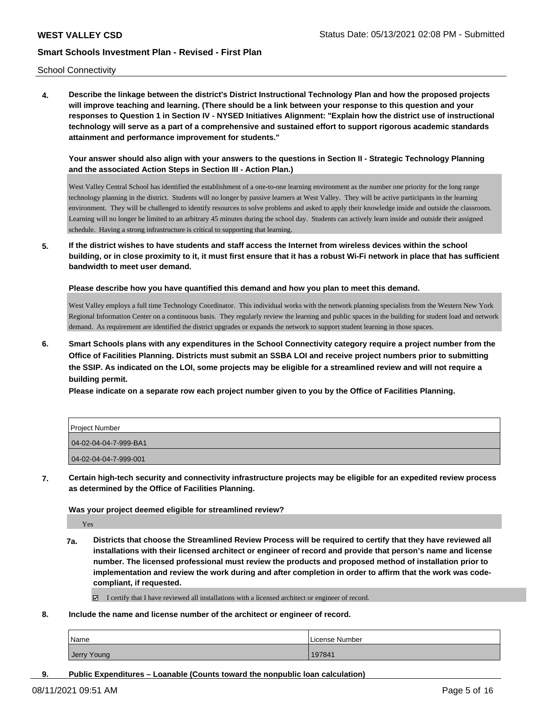School Connectivity

**4. Describe the linkage between the district's District Instructional Technology Plan and how the proposed projects will improve teaching and learning. (There should be a link between your response to this question and your responses to Question 1 in Section IV - NYSED Initiatives Alignment: "Explain how the district use of instructional technology will serve as a part of a comprehensive and sustained effort to support rigorous academic standards attainment and performance improvement for students."** 

**Your answer should also align with your answers to the questions in Section II - Strategic Technology Planning and the associated Action Steps in Section III - Action Plan.)**

West Valley Central School has identified the establishment of a one-to-one learning environment as the number one priority for the long range technology planning in the district. Students will no longer by passive learners at West Valley. They will be active participants in the learning environment. They will be challenged to identify resources to solve problems and asked to apply their knowledge inside and outside the classroom. Learning will no longer be limited to an arbitrary 45 minutes during the school day. Students can actively learn inside and outside their assigned schedule. Having a strong infrastructure is critical to supporting that learning.

**5. If the district wishes to have students and staff access the Internet from wireless devices within the school building, or in close proximity to it, it must first ensure that it has a robust Wi-Fi network in place that has sufficient bandwidth to meet user demand.**

**Please describe how you have quantified this demand and how you plan to meet this demand.**

West Valley employs a full time Technology Coordinator. This individual works with the network planning specialists from the Western New York Regional Information Center on a continuous basis. They regularly review the learning and public spaces in the building for student load and network demand. As requirement are identified the district upgrades or expands the network to support student learning in those spaces.

**6. Smart Schools plans with any expenditures in the School Connectivity category require a project number from the Office of Facilities Planning. Districts must submit an SSBA LOI and receive project numbers prior to submitting the SSIP. As indicated on the LOI, some projects may be eligible for a streamlined review and will not require a building permit.**

**Please indicate on a separate row each project number given to you by the Office of Facilities Planning.**

| Project Number        |
|-----------------------|
| 04-02-04-04-7-999-BA1 |
| 04-02-04-04-7-999-001 |

**7. Certain high-tech security and connectivity infrastructure projects may be eligible for an expedited review process as determined by the Office of Facilities Planning.**

**Was your project deemed eligible for streamlined review?**

Yes

**7a. Districts that choose the Streamlined Review Process will be required to certify that they have reviewed all installations with their licensed architect or engineer of record and provide that person's name and license number. The licensed professional must review the products and proposed method of installation prior to implementation and review the work during and after completion in order to affirm that the work was codecompliant, if requested.**

I certify that I have reviewed all installations with a licensed architect or engineer of record.

**8. Include the name and license number of the architect or engineer of record.**

| <b>Name</b> | License Number |
|-------------|----------------|
| Jerry Young | 197841         |

**9. Public Expenditures – Loanable (Counts toward the nonpublic loan calculation)**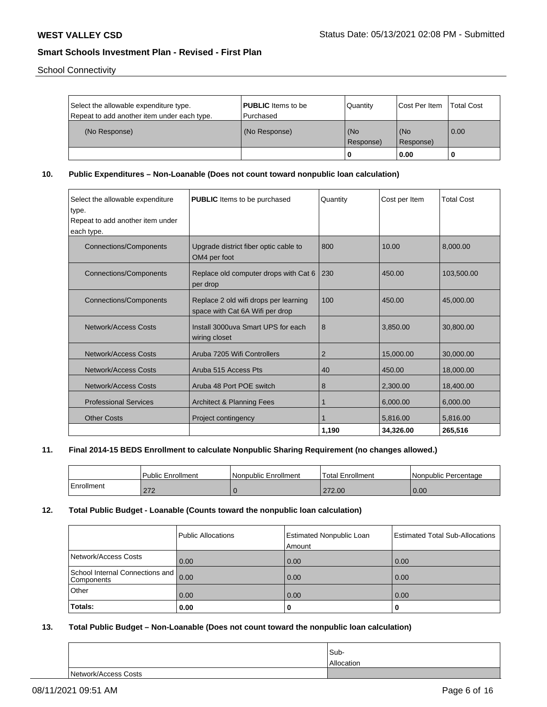School Connectivity

| Select the allowable expenditure type.<br>Repeat to add another item under each type. | <b>PUBLIC</b> Items to be<br>l Purchased | Quantity         | <b>Cost Per Item</b> | <b>Total Cost</b> |
|---------------------------------------------------------------------------------------|------------------------------------------|------------------|----------------------|-------------------|
| (No Response)                                                                         | (No Response)                            | (No<br>Response) | (No<br>(Response)    | 0.00              |
|                                                                                       |                                          |                  | 0.00                 |                   |

**10. Public Expenditures – Non-Loanable (Does not count toward nonpublic loan calculation)**

| Select the allowable expenditure<br>type.<br>Repeat to add another item under<br>each type. | <b>PUBLIC</b> Items to be purchased                                      | Quantity       | Cost per Item | <b>Total Cost</b> |
|---------------------------------------------------------------------------------------------|--------------------------------------------------------------------------|----------------|---------------|-------------------|
| <b>Connections/Components</b>                                                               | Upgrade district fiber optic cable to<br>OM4 per foot                    | 800            | 10.00         | 8,000.00          |
| <b>Connections/Components</b>                                                               | Replace old computer drops with Cat 6<br>per drop                        | 230            | 450.00        | 103,500.00        |
| <b>Connections/Components</b>                                                               | Replace 2 old wifi drops per learning<br>space with Cat 6A Wifi per drop | 100            | 450.00        | 45,000,00         |
| Network/Access Costs                                                                        | Install 3000uva Smart UPS for each<br>wiring closet                      | 8              | 3,850.00      | 30,800.00         |
| <b>Network/Access Costs</b>                                                                 | Aruba 7205 Wifi Controllers                                              | $\overline{2}$ | 15,000.00     | 30,000.00         |
| Network/Access Costs                                                                        | Aruba 515 Access Pts                                                     | 40             | 450.00        | 18,000.00         |
| Network/Access Costs                                                                        | Aruba 48 Port POE switch                                                 | 8              | 2,300.00      | 18,400.00         |
| <b>Professional Services</b>                                                                | <b>Architect &amp; Planning Fees</b>                                     | 1              | 6.000.00      | 6.000.00          |
| <b>Other Costs</b>                                                                          | Project contingency                                                      |                | 5,816.00      | 5,816.00          |
|                                                                                             |                                                                          | 1,190          | 34,326.00     | 265,516           |

#### **11. Final 2014-15 BEDS Enrollment to calculate Nonpublic Sharing Requirement (no changes allowed.)**

|            | <b>Public Enrollment</b> | l Nonpublic Enrollment | 'Total Enrollment | Nonpublic Percentage |
|------------|--------------------------|------------------------|-------------------|----------------------|
| Enrollment | 272<br>21 Z              |                        | 272.00            | 0.00                 |

### **12. Total Public Budget - Loanable (Counts toward the nonpublic loan calculation)**

|                                                    | Public Allocations | Estimated Nonpublic Loan<br>Amount | Estimated Total Sub-Allocations |
|----------------------------------------------------|--------------------|------------------------------------|---------------------------------|
| Network/Access Costs                               | 0.00               | 0.00                               | 0.00                            |
| School Internal Connections and 0.00<br>Components |                    | 0.00                               | 0.00                            |
| Other                                              | 0.00               | 0.00                               | 0.00                            |
| Totals:                                            | 0.00               | 0                                  |                                 |

#### **13. Total Public Budget – Non-Loanable (Does not count toward the nonpublic loan calculation)**

|                      | Sub-       |
|----------------------|------------|
|                      | Allocation |
| Network/Access Costs |            |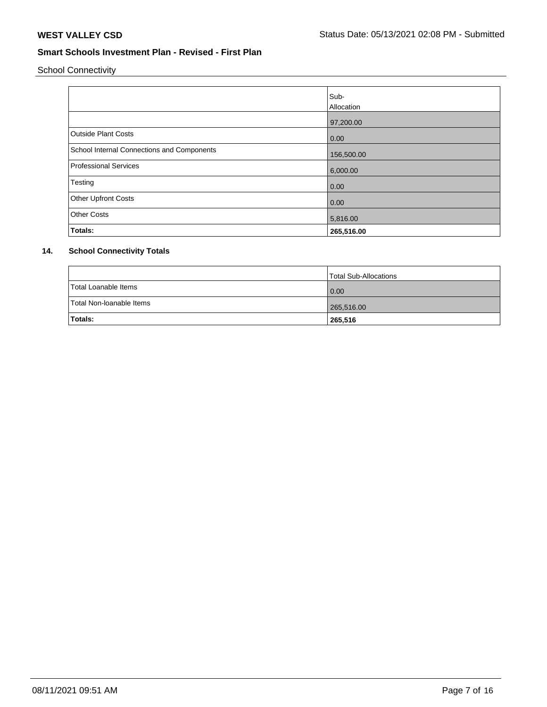School Connectivity

|                                            | Sub-       |
|--------------------------------------------|------------|
|                                            | Allocation |
|                                            | 97,200.00  |
| <b>Outside Plant Costs</b>                 | 0.00       |
| School Internal Connections and Components | 156,500.00 |
| <b>Professional Services</b>               | 6,000.00   |
| Testing                                    | 0.00       |
| <b>Other Upfront Costs</b>                 | 0.00       |
| <b>Other Costs</b>                         | 5,816.00   |
| Totals:                                    | 265,516.00 |

## **14. School Connectivity Totals**

|                          | Total Sub-Allocations |
|--------------------------|-----------------------|
| Total Loanable Items     | 0.00                  |
| Total Non-Ioanable Items | 265,516.00            |
| Totals:                  | 265,516               |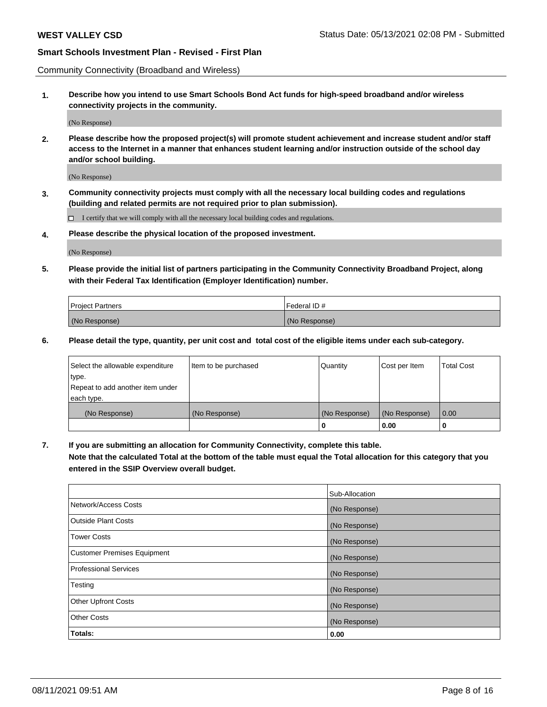Community Connectivity (Broadband and Wireless)

**1. Describe how you intend to use Smart Schools Bond Act funds for high-speed broadband and/or wireless connectivity projects in the community.**

(No Response)

**2. Please describe how the proposed project(s) will promote student achievement and increase student and/or staff access to the Internet in a manner that enhances student learning and/or instruction outside of the school day and/or school building.**

(No Response)

**3. Community connectivity projects must comply with all the necessary local building codes and regulations (building and related permits are not required prior to plan submission).**

 $\Box$  I certify that we will comply with all the necessary local building codes and regulations.

**4. Please describe the physical location of the proposed investment.**

(No Response)

**5. Please provide the initial list of partners participating in the Community Connectivity Broadband Project, along with their Federal Tax Identification (Employer Identification) number.**

| <b>Project Partners</b> | l Federal ID # |
|-------------------------|----------------|
| (No Response)           | (No Response)  |

**6. Please detail the type, quantity, per unit cost and total cost of the eligible items under each sub-category.**

| Select the allowable expenditure | Item to be purchased | Quantity      | Cost per Item | <b>Total Cost</b> |
|----------------------------------|----------------------|---------------|---------------|-------------------|
| type.                            |                      |               |               |                   |
| Repeat to add another item under |                      |               |               |                   |
| each type.                       |                      |               |               |                   |
| (No Response)                    | (No Response)        | (No Response) | (No Response) | 0.00              |
|                                  |                      | o             | 0.00          |                   |

**7. If you are submitting an allocation for Community Connectivity, complete this table.**

**Note that the calculated Total at the bottom of the table must equal the Total allocation for this category that you entered in the SSIP Overview overall budget.**

|                                    | Sub-Allocation |
|------------------------------------|----------------|
| Network/Access Costs               | (No Response)  |
| Outside Plant Costs                | (No Response)  |
| <b>Tower Costs</b>                 | (No Response)  |
| <b>Customer Premises Equipment</b> | (No Response)  |
| <b>Professional Services</b>       | (No Response)  |
| Testing                            | (No Response)  |
| <b>Other Upfront Costs</b>         | (No Response)  |
| <b>Other Costs</b>                 | (No Response)  |
| Totals:                            | 0.00           |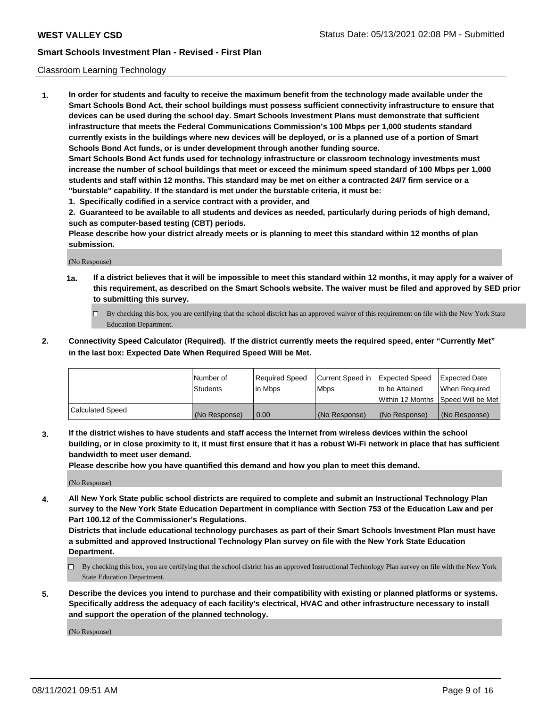#### Classroom Learning Technology

**1. In order for students and faculty to receive the maximum benefit from the technology made available under the Smart Schools Bond Act, their school buildings must possess sufficient connectivity infrastructure to ensure that devices can be used during the school day. Smart Schools Investment Plans must demonstrate that sufficient infrastructure that meets the Federal Communications Commission's 100 Mbps per 1,000 students standard currently exists in the buildings where new devices will be deployed, or is a planned use of a portion of Smart Schools Bond Act funds, or is under development through another funding source. Smart Schools Bond Act funds used for technology infrastructure or classroom technology investments must increase the number of school buildings that meet or exceed the minimum speed standard of 100 Mbps per 1,000 students and staff within 12 months. This standard may be met on either a contracted 24/7 firm service or a**

- **"burstable" capability. If the standard is met under the burstable criteria, it must be:**
- **1. Specifically codified in a service contract with a provider, and**

**2. Guaranteed to be available to all students and devices as needed, particularly during periods of high demand, such as computer-based testing (CBT) periods.**

**Please describe how your district already meets or is planning to meet this standard within 12 months of plan submission.**

(No Response)

- **1a. If a district believes that it will be impossible to meet this standard within 12 months, it may apply for a waiver of this requirement, as described on the Smart Schools website. The waiver must be filed and approved by SED prior to submitting this survey.**
	- By checking this box, you are certifying that the school district has an approved waiver of this requirement on file with the New York State Education Department.
- **2. Connectivity Speed Calculator (Required). If the district currently meets the required speed, enter "Currently Met" in the last box: Expected Date When Required Speed Will be Met.**

|                  | l Number of     | Required Speed | Current Speed in | <b>Expected Speed</b> | <b>Expected Date</b>                |
|------------------|-----------------|----------------|------------------|-----------------------|-------------------------------------|
|                  | <b>Students</b> | l in Mbps      | l Mbps           | to be Attained        | When Required                       |
|                  |                 |                |                  |                       | Within 12 Months  Speed Will be Met |
| Calculated Speed | (No Response)   | 0.00           | (No Response)    | l (No Response)       | (No Response)                       |

**3. If the district wishes to have students and staff access the Internet from wireless devices within the school building, or in close proximity to it, it must first ensure that it has a robust Wi-Fi network in place that has sufficient bandwidth to meet user demand.**

**Please describe how you have quantified this demand and how you plan to meet this demand.**

(No Response)

**4. All New York State public school districts are required to complete and submit an Instructional Technology Plan survey to the New York State Education Department in compliance with Section 753 of the Education Law and per Part 100.12 of the Commissioner's Regulations.**

**Districts that include educational technology purchases as part of their Smart Schools Investment Plan must have a submitted and approved Instructional Technology Plan survey on file with the New York State Education Department.**

- By checking this box, you are certifying that the school district has an approved Instructional Technology Plan survey on file with the New York State Education Department.
- **5. Describe the devices you intend to purchase and their compatibility with existing or planned platforms or systems. Specifically address the adequacy of each facility's electrical, HVAC and other infrastructure necessary to install and support the operation of the planned technology.**

(No Response)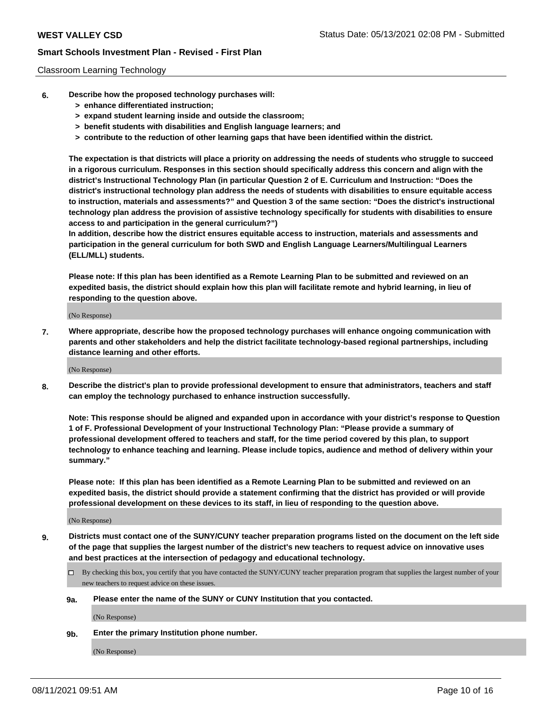#### Classroom Learning Technology

- **6. Describe how the proposed technology purchases will:**
	- **> enhance differentiated instruction;**
	- **> expand student learning inside and outside the classroom;**
	- **> benefit students with disabilities and English language learners; and**
	- **> contribute to the reduction of other learning gaps that have been identified within the district.**

**The expectation is that districts will place a priority on addressing the needs of students who struggle to succeed in a rigorous curriculum. Responses in this section should specifically address this concern and align with the district's Instructional Technology Plan (in particular Question 2 of E. Curriculum and Instruction: "Does the district's instructional technology plan address the needs of students with disabilities to ensure equitable access to instruction, materials and assessments?" and Question 3 of the same section: "Does the district's instructional technology plan address the provision of assistive technology specifically for students with disabilities to ensure access to and participation in the general curriculum?")**

**In addition, describe how the district ensures equitable access to instruction, materials and assessments and participation in the general curriculum for both SWD and English Language Learners/Multilingual Learners (ELL/MLL) students.**

**Please note: If this plan has been identified as a Remote Learning Plan to be submitted and reviewed on an expedited basis, the district should explain how this plan will facilitate remote and hybrid learning, in lieu of responding to the question above.**

(No Response)

**7. Where appropriate, describe how the proposed technology purchases will enhance ongoing communication with parents and other stakeholders and help the district facilitate technology-based regional partnerships, including distance learning and other efforts.**

(No Response)

**8. Describe the district's plan to provide professional development to ensure that administrators, teachers and staff can employ the technology purchased to enhance instruction successfully.**

**Note: This response should be aligned and expanded upon in accordance with your district's response to Question 1 of F. Professional Development of your Instructional Technology Plan: "Please provide a summary of professional development offered to teachers and staff, for the time period covered by this plan, to support technology to enhance teaching and learning. Please include topics, audience and method of delivery within your summary."**

**Please note: If this plan has been identified as a Remote Learning Plan to be submitted and reviewed on an expedited basis, the district should provide a statement confirming that the district has provided or will provide professional development on these devices to its staff, in lieu of responding to the question above.**

(No Response)

- **9. Districts must contact one of the SUNY/CUNY teacher preparation programs listed on the document on the left side of the page that supplies the largest number of the district's new teachers to request advice on innovative uses and best practices at the intersection of pedagogy and educational technology.**
	- $\Box$  By checking this box, you certify that you have contacted the SUNY/CUNY teacher preparation program that supplies the largest number of your new teachers to request advice on these issues.

#### **9a. Please enter the name of the SUNY or CUNY Institution that you contacted.**

(No Response)

**9b. Enter the primary Institution phone number.**

(No Response)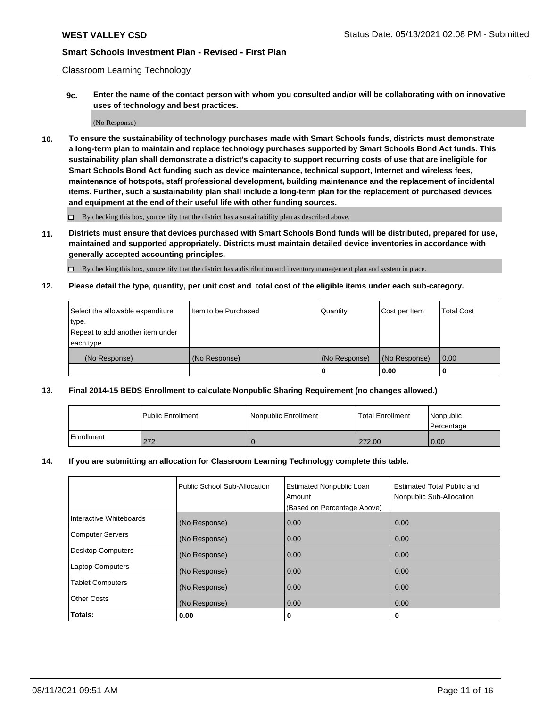Classroom Learning Technology

**9c. Enter the name of the contact person with whom you consulted and/or will be collaborating with on innovative uses of technology and best practices.**

(No Response)

**10. To ensure the sustainability of technology purchases made with Smart Schools funds, districts must demonstrate a long-term plan to maintain and replace technology purchases supported by Smart Schools Bond Act funds. This sustainability plan shall demonstrate a district's capacity to support recurring costs of use that are ineligible for Smart Schools Bond Act funding such as device maintenance, technical support, Internet and wireless fees, maintenance of hotspots, staff professional development, building maintenance and the replacement of incidental items. Further, such a sustainability plan shall include a long-term plan for the replacement of purchased devices and equipment at the end of their useful life with other funding sources.**

 $\square$  By checking this box, you certify that the district has a sustainability plan as described above.

**11. Districts must ensure that devices purchased with Smart Schools Bond funds will be distributed, prepared for use, maintained and supported appropriately. Districts must maintain detailed device inventories in accordance with generally accepted accounting principles.**

By checking this box, you certify that the district has a distribution and inventory management plan and system in place.

**12. Please detail the type, quantity, per unit cost and total cost of the eligible items under each sub-category.**

| Select the allowable expenditure | Iltem to be Purchased | Quantity      | Cost per Item | Total Cost |
|----------------------------------|-----------------------|---------------|---------------|------------|
| type.                            |                       |               |               |            |
| Repeat to add another item under |                       |               |               |            |
| each type.                       |                       |               |               |            |
| (No Response)                    | (No Response)         | (No Response) | (No Response) | 0.00       |
|                                  |                       |               | 0.00          |            |

### **13. Final 2014-15 BEDS Enrollment to calculate Nonpublic Sharing Requirement (no changes allowed.)**

|                   | l Public Enrollment | Nonpublic Enrollment | <b>Total Enrollment</b> | <i>Nonpublic</i><br>Percentage |
|-------------------|---------------------|----------------------|-------------------------|--------------------------------|
| <b>Enrollment</b> | 272                 |                      | 272.00                  | 0.00                           |

#### **14. If you are submitting an allocation for Classroom Learning Technology complete this table.**

|                          | Public School Sub-Allocation | <b>Estimated Nonpublic Loan</b><br>Amount | Estimated Total Public and<br>Nonpublic Sub-Allocation |
|--------------------------|------------------------------|-------------------------------------------|--------------------------------------------------------|
|                          |                              | (Based on Percentage Above)               |                                                        |
| Interactive Whiteboards  | (No Response)                | 0.00                                      | 0.00                                                   |
| <b>Computer Servers</b>  | (No Response)                | 0.00                                      | 0.00                                                   |
| <b>Desktop Computers</b> | (No Response)                | 0.00                                      | 0.00                                                   |
| <b>Laptop Computers</b>  | (No Response)                | 0.00                                      | 0.00                                                   |
| <b>Tablet Computers</b>  | (No Response)                | 0.00                                      | 0.00                                                   |
| <b>Other Costs</b>       | (No Response)                | 0.00                                      | 0.00                                                   |
| Totals:                  | 0.00                         | 0                                         | 0                                                      |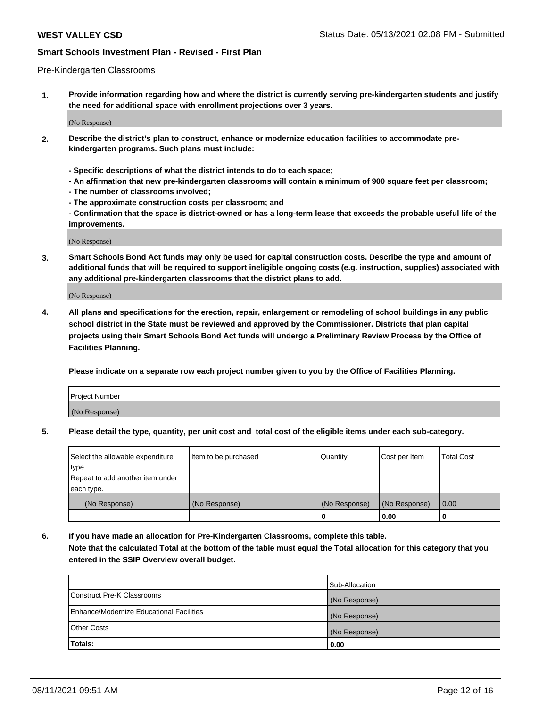#### Pre-Kindergarten Classrooms

**1. Provide information regarding how and where the district is currently serving pre-kindergarten students and justify the need for additional space with enrollment projections over 3 years.**

(No Response)

- **2. Describe the district's plan to construct, enhance or modernize education facilities to accommodate prekindergarten programs. Such plans must include:**
	- **Specific descriptions of what the district intends to do to each space;**
	- **An affirmation that new pre-kindergarten classrooms will contain a minimum of 900 square feet per classroom;**
	- **The number of classrooms involved;**
	- **The approximate construction costs per classroom; and**
	- **Confirmation that the space is district-owned or has a long-term lease that exceeds the probable useful life of the improvements.**

(No Response)

**3. Smart Schools Bond Act funds may only be used for capital construction costs. Describe the type and amount of additional funds that will be required to support ineligible ongoing costs (e.g. instruction, supplies) associated with any additional pre-kindergarten classrooms that the district plans to add.**

(No Response)

**4. All plans and specifications for the erection, repair, enlargement or remodeling of school buildings in any public school district in the State must be reviewed and approved by the Commissioner. Districts that plan capital projects using their Smart Schools Bond Act funds will undergo a Preliminary Review Process by the Office of Facilities Planning.**

**Please indicate on a separate row each project number given to you by the Office of Facilities Planning.**

| Project Number |  |
|----------------|--|
| (No Response)  |  |
|                |  |

**5. Please detail the type, quantity, per unit cost and total cost of the eligible items under each sub-category.**

| Select the allowable expenditure | Item to be purchased | Quantity      | Cost per Item | <b>Total Cost</b> |
|----------------------------------|----------------------|---------------|---------------|-------------------|
| type.                            |                      |               |               |                   |
| Repeat to add another item under |                      |               |               |                   |
| each type.                       |                      |               |               |                   |
| (No Response)                    | (No Response)        | (No Response) | (No Response) | 0.00              |
|                                  |                      | U             | 0.00          |                   |

**6. If you have made an allocation for Pre-Kindergarten Classrooms, complete this table. Note that the calculated Total at the bottom of the table must equal the Total allocation for this category that you entered in the SSIP Overview overall budget.**

|                                          | Sub-Allocation |
|------------------------------------------|----------------|
| Construct Pre-K Classrooms               | (No Response)  |
| Enhance/Modernize Educational Facilities | (No Response)  |
| <b>Other Costs</b>                       | (No Response)  |
| Totals:                                  | 0.00           |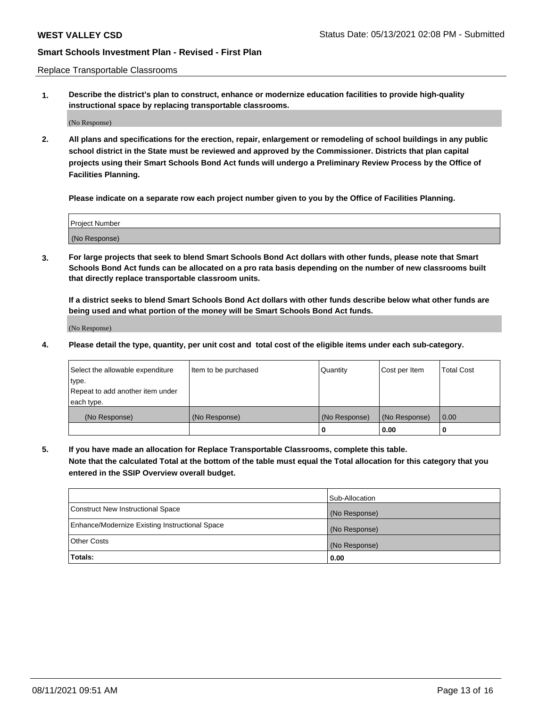Replace Transportable Classrooms

**1. Describe the district's plan to construct, enhance or modernize education facilities to provide high-quality instructional space by replacing transportable classrooms.**

(No Response)

**2. All plans and specifications for the erection, repair, enlargement or remodeling of school buildings in any public school district in the State must be reviewed and approved by the Commissioner. Districts that plan capital projects using their Smart Schools Bond Act funds will undergo a Preliminary Review Process by the Office of Facilities Planning.**

**Please indicate on a separate row each project number given to you by the Office of Facilities Planning.**

| Project Number |  |
|----------------|--|
|                |  |
|                |  |
|                |  |
|                |  |
| (No Response)  |  |
|                |  |
|                |  |
|                |  |

**3. For large projects that seek to blend Smart Schools Bond Act dollars with other funds, please note that Smart Schools Bond Act funds can be allocated on a pro rata basis depending on the number of new classrooms built that directly replace transportable classroom units.**

**If a district seeks to blend Smart Schools Bond Act dollars with other funds describe below what other funds are being used and what portion of the money will be Smart Schools Bond Act funds.**

(No Response)

**4. Please detail the type, quantity, per unit cost and total cost of the eligible items under each sub-category.**

| Select the allowable expenditure | Item to be purchased | Quantity      | Cost per Item | Total Cost |
|----------------------------------|----------------------|---------------|---------------|------------|
| ∣type.                           |                      |               |               |            |
| Repeat to add another item under |                      |               |               |            |
| each type.                       |                      |               |               |            |
| (No Response)                    | (No Response)        | (No Response) | (No Response) | 0.00       |
|                                  |                      | u             | 0.00          |            |

**5. If you have made an allocation for Replace Transportable Classrooms, complete this table. Note that the calculated Total at the bottom of the table must equal the Total allocation for this category that you entered in the SSIP Overview overall budget.**

|                                                | Sub-Allocation |
|------------------------------------------------|----------------|
| Construct New Instructional Space              | (No Response)  |
| Enhance/Modernize Existing Instructional Space | (No Response)  |
| Other Costs                                    | (No Response)  |
| Totals:                                        | 0.00           |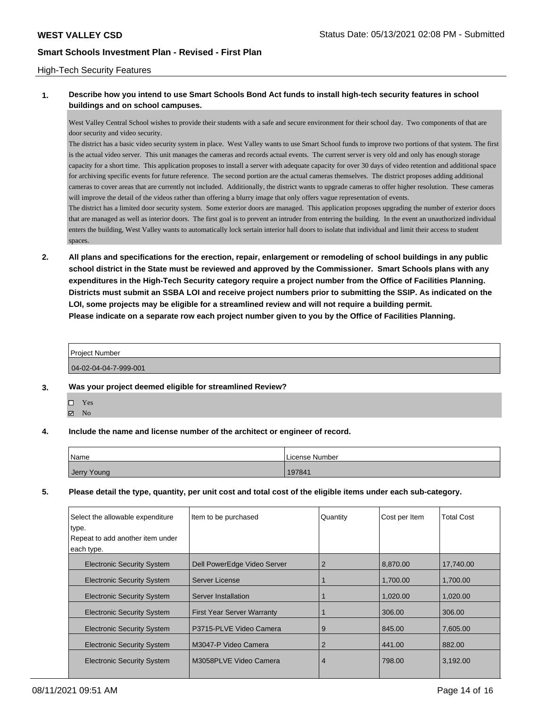#### High-Tech Security Features

### **1. Describe how you intend to use Smart Schools Bond Act funds to install high-tech security features in school buildings and on school campuses.**

West Valley Central School wishes to provide their students with a safe and secure environment for their school day. Two components of that are door security and video security.

The district has a basic video security system in place. West Valley wants to use Smart School funds to improve two portions of that system. The first is the actual video server. This unit manages the cameras and records actual events. The current server is very old and only has enough storage capacity for a short time. This application proposes to install a server with adequate capacity for over 30 days of video retention and additional space for archiving specific events for future reference. The second portion are the actual cameras themselves. The district proposes adding additional cameras to cover areas that are currently not included. Additionally, the district wants to upgrade cameras to offer higher resolution. These cameras will improve the detail of the videos rather than offering a blurry image that only offers vague representation of events.

The district has a limited door security system. Some exterior doors are managed. This application proposes upgrading the number of exterior doors that are managed as well as interior doors. The first goal is to prevent an intruder from entering the building. In the event an unauthorized individual enters the building, West Valley wants to automatically lock sertain interior hall doors to isolate that individual and limit their access to student spaces

**2. All plans and specifications for the erection, repair, enlargement or remodeling of school buildings in any public school district in the State must be reviewed and approved by the Commissioner. Smart Schools plans with any expenditures in the High-Tech Security category require a project number from the Office of Facilities Planning. Districts must submit an SSBA LOI and receive project numbers prior to submitting the SSIP. As indicated on the LOI, some projects may be eligible for a streamlined review and will not require a building permit. Please indicate on a separate row each project number given to you by the Office of Facilities Planning.**

| <b>Project Number</b>   |  |
|-------------------------|--|
| $04-02-04-04-7-999-001$ |  |

- **3. Was your project deemed eligible for streamlined Review?**
	- Yes
	- $\boxtimes$  No
- **4. Include the name and license number of the architect or engineer of record.**

| Name        | License Number |
|-------------|----------------|
| Jerry Young | 197841         |

**5. Please detail the type, quantity, per unit cost and total cost of the eligible items under each sub-category.**

| Select the allowable expenditure<br>type.<br>Repeat to add another item under<br>each type. | Item to be purchased              | Quantity | Cost per Item | <b>Total Cost</b> |
|---------------------------------------------------------------------------------------------|-----------------------------------|----------|---------------|-------------------|
| <b>Electronic Security System</b>                                                           | Dell PowerEdge Video Server       | 2        | 8,870.00      | 17,740.00         |
| <b>Electronic Security System</b>                                                           | Server License                    |          | 1.700.00      | 1.700.00          |
| <b>Electronic Security System</b>                                                           | Server Installation               |          | 1,020.00      | 1,020.00          |
| <b>Electronic Security System</b>                                                           | <b>First Year Server Warranty</b> |          | 306.00        | 306.00            |
| <b>Electronic Security System</b>                                                           | P3715-PLVE Video Camera           | 9        | 845.00        | 7,605.00          |
| <b>Electronic Security System</b>                                                           | M3047-P Video Camera              | 2        | 441.00        | 882.00            |
| <b>Electronic Security System</b>                                                           | M3058PLVE Video Camera            | 4        | 798.00        | 3,192.00          |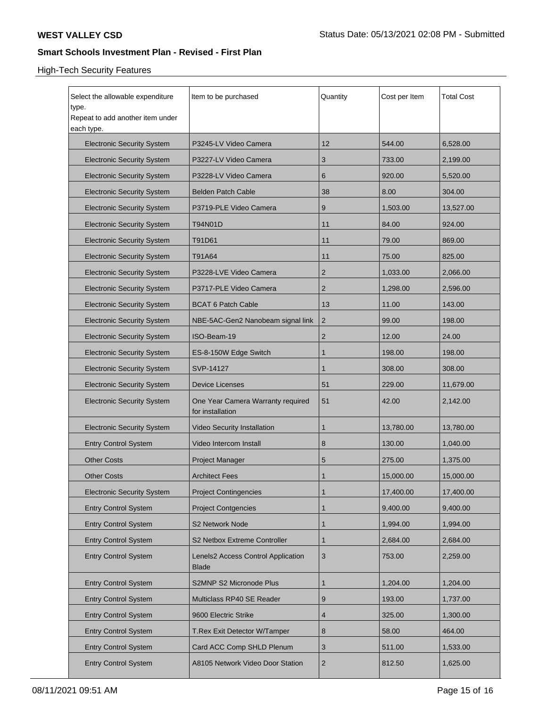## High-Tech Security Features

| Select the allowable expenditure<br>type.<br>Repeat to add another item under<br>each type. | Item to be purchased                                  | Quantity       | Cost per Item | <b>Total Cost</b> |
|---------------------------------------------------------------------------------------------|-------------------------------------------------------|----------------|---------------|-------------------|
| <b>Electronic Security System</b>                                                           | P3245-LV Video Camera                                 | 12             | 544.00        | 6,528.00          |
| <b>Electronic Security System</b>                                                           | P3227-LV Video Camera                                 | 3              | 733.00        | 2,199.00          |
| <b>Electronic Security System</b>                                                           | P3228-LV Video Camera                                 | 6              | 920.00        | 5,520.00          |
| <b>Electronic Security System</b>                                                           | <b>Belden Patch Cable</b>                             | 38             | 8.00          | 304.00            |
| <b>Electronic Security System</b>                                                           | P3719-PLE Video Camera                                | 9              | 1,503.00      | 13,527.00         |
| <b>Electronic Security System</b>                                                           | T94N01D                                               | 11             | 84.00         | 924.00            |
| <b>Electronic Security System</b>                                                           | T91D61                                                | 11             | 79.00         | 869.00            |
| <b>Electronic Security System</b>                                                           | T91A64                                                | 11             | 75.00         | 825.00            |
| <b>Electronic Security System</b>                                                           | P3228-LVE Video Camera                                | 2              | 1,033.00      | 2.066.00          |
| <b>Electronic Security System</b>                                                           | P3717-PLE Video Camera                                | 2              | 1,298.00      | 2,596.00          |
| <b>Electronic Security System</b>                                                           | <b>BCAT 6 Patch Cable</b>                             | 13             | 11.00         | 143.00            |
| <b>Electronic Security System</b>                                                           | NBE-5AC-Gen2 Nanobeam signal link                     | $\overline{2}$ | 99.00         | 198.00            |
| <b>Electronic Security System</b>                                                           | ISO-Beam-19                                           | $\overline{2}$ | 12.00         | 24.00             |
| <b>Electronic Security System</b>                                                           | ES-8-150W Edge Switch                                 | $\mathbf 1$    | 198.00        | 198.00            |
| <b>Electronic Security System</b>                                                           | SVP-14127                                             | $\mathbf{1}$   | 308.00        | 308.00            |
| <b>Electronic Security System</b>                                                           | <b>Device Licenses</b>                                | 51             | 229.00        | 11,679.00         |
| <b>Electronic Security System</b>                                                           | One Year Camera Warranty required<br>for installation | 51             | 42.00         | 2,142.00          |
| <b>Electronic Security System</b>                                                           | <b>Video Security Installation</b>                    | $\mathbf 1$    | 13,780.00     | 13,780.00         |
| <b>Entry Control System</b>                                                                 | Video Intercom Install                                | 8              | 130.00        | 1,040.00          |
| <b>Other Costs</b>                                                                          | <b>Project Manager</b>                                | 5              | 275.00        | 1,375.00          |
| <b>Other Costs</b>                                                                          | <b>Architect Fees</b>                                 | $\mathbf 1$    | 15,000.00     | 15,000.00         |
| <b>Electronic Security System</b>                                                           | <b>Project Contingencies</b>                          | $\mathbf{1}$   | 17,400.00     | 17,400.00         |
| <b>Entry Control System</b>                                                                 | <b>Project Contgencies</b>                            | $\mathbf{1}$   | 9,400.00      | 9,400.00          |
| <b>Entry Control System</b>                                                                 | S2 Network Node                                       | $\mathbf{1}$   | 1,994.00      | 1,994.00          |
| <b>Entry Control System</b>                                                                 | S2 Netbox Extreme Controller                          | $\mathbf{1}$   | 2,684.00      | 2,684.00          |
| <b>Entry Control System</b>                                                                 | Lenels2 Access Control Application<br><b>Blade</b>    | 3              | 753.00        | 2,259.00          |
| <b>Entry Control System</b>                                                                 | S2MNP S2 Micronode Plus                               | $\mathbf{1}$   | 1,204.00      | 1,204.00          |
| <b>Entry Control System</b>                                                                 | Multiclass RP40 SE Reader                             | 9              | 193.00        | 1,737.00          |
| <b>Entry Control System</b>                                                                 | 9600 Electric Strike                                  | $\overline{4}$ | 325.00        | 1,300.00          |
| <b>Entry Control System</b>                                                                 | T.Rex Exit Detector W/Tamper                          | 8              | 58.00         | 464.00            |
| <b>Entry Control System</b>                                                                 | Card ACC Comp SHLD Plenum                             | 3              | 511.00        | 1,533.00          |
| <b>Entry Control System</b>                                                                 | A8105 Network Video Door Station                      | $\overline{2}$ | 812.50        | 1,625.00          |